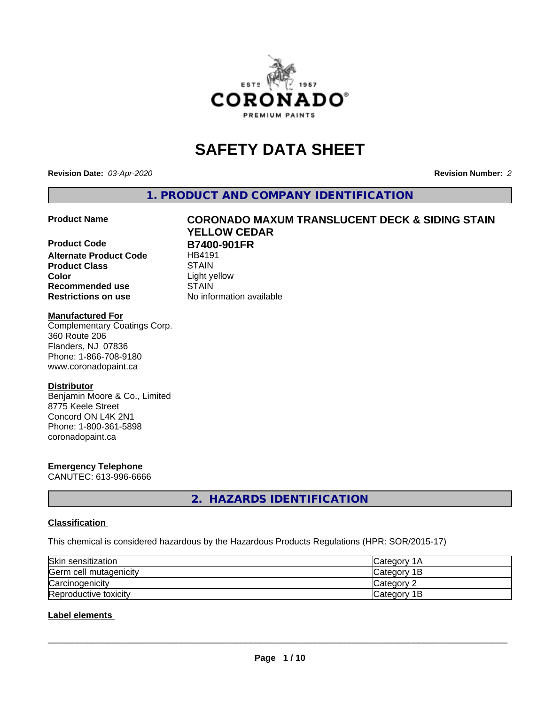

# **SAFETY DATA SHEET**

**Revision Date:** *03-Apr-2020* **Revision Number:** *2*

**1. PRODUCT AND COMPANY IDENTIFICATION**

**Product Code B7400-901FR**<br>Alternate Product Code HB4191 **Alternate Product Code Product Class STAIN**<br> **Color** Light ve **Recommended use STAIN Restrictions on use** No information available

# **Product Name CORONADO MAXUM TRANSLUCENT DECK & SIDING STAIN YELLOW CEDAR**

**Color** Light yellow

#### **Manufactured For**

Complementary Coatings Corp. 360 Route 206 Flanders, NJ 07836 Phone: 1-866-708-9180 www.coronadopaint.ca

#### **Distributor**

Benjamin Moore & Co., Limited 8775 Keele Street Concord ON L4K 2N1 Phone: 1-800-361-5898 coronadopaint.ca

# **Emergency Telephone**

CANUTEC: 613-996-6666

**2. HAZARDS IDENTIFICATION**

#### **Classification**

This chemical is considered hazardous by the Hazardous Products Regulations (HPR: SOR/2015-17)

| Skin sensitization     | <b>Category 1A</b> |
|------------------------|--------------------|
| Germ cell mutagenicity | Category 1B        |
| Carcinogenicity        | Category 2         |
| Reproductive toxicity  | Category 1B        |

### **Label elements**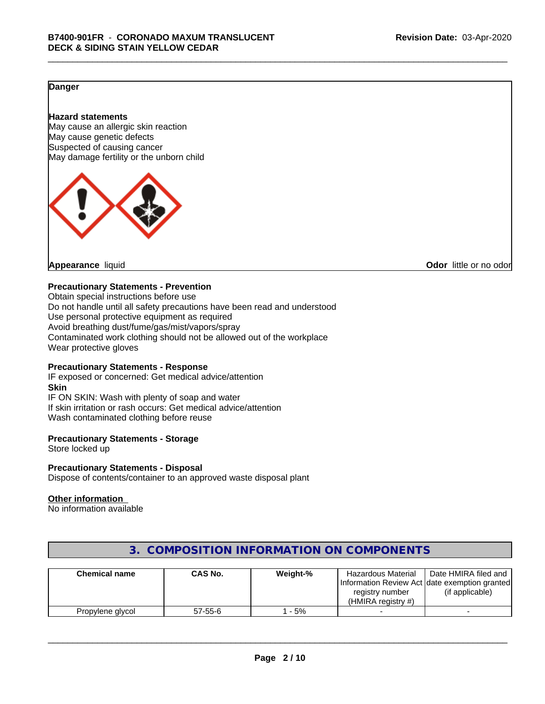### **Danger**

#### **Hazard statements**

May cause an allergic skin reaction May cause genetic defects Suspected of causing cancer May damage fertility or the unborn child



**Appearance** liquid **CODO** *Appearance liquid* **Odor** *CODO CODO* **<b>***CODO CODO CODO CODO CODO* 

#### **Precautionary Statements - Prevention**

Obtain special instructions before use Do not handle until all safety precautions have been read and understood Use personal protective equipment as required Avoid breathing dust/fume/gas/mist/vapors/spray Contaminated work clothing should not be allowed out of the workplace Wear protective gloves

#### **Precautionary Statements - Response**

IF exposed or concerned: Get medical advice/attention **Skin** IF ON SKIN: Wash with plenty of soap and water If skin irritation or rash occurs: Get medical advice/attention Wash contaminated clothing before reuse

#### **Precautionary Statements - Storage**

Store locked up

#### **Precautionary Statements - Disposal**

Dispose of contents/container to an approved waste disposal plant

#### **Other information**

No information available

| <b>Chemical name</b> | <b>CAS No.</b> | Weight-% | Hazardous Material<br>Information Review Act Idate exemption granted<br>registry number<br>(HMIRA registry #) | Date HMIRA filed and<br>(if applicable) |
|----------------------|----------------|----------|---------------------------------------------------------------------------------------------------------------|-----------------------------------------|
| Propylene glycol     | $57 - 55 - 6$  | $-5%$    |                                                                                                               |                                         |

# **3. COMPOSITION INFORMATION ON COMPONENTS**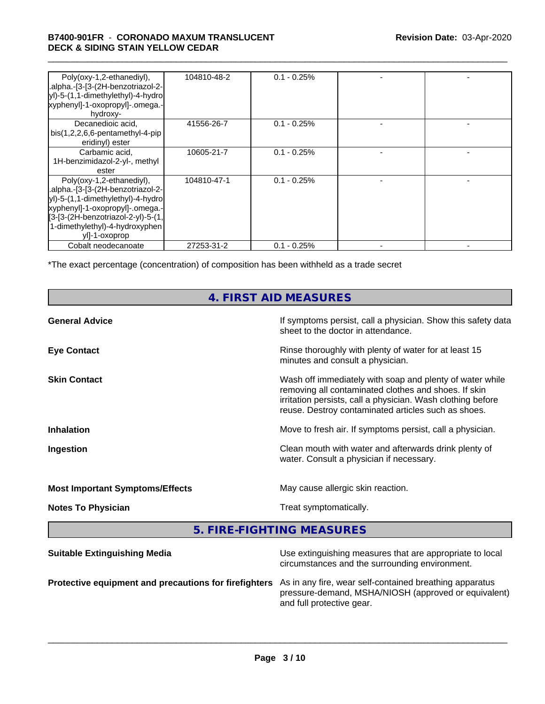#### \_\_\_\_\_\_\_\_\_\_\_\_\_\_\_\_\_\_\_\_\_\_\_\_\_\_\_\_\_\_\_\_\_\_\_\_\_\_\_\_\_\_\_\_\_\_\_\_\_\_\_\_\_\_\_\_\_\_\_\_\_\_\_\_\_\_\_\_\_\_\_\_\_\_\_\_\_\_\_\_\_\_\_\_\_\_\_\_\_\_\_\_\_ **B7400-901FR** - **CORONADO MAXUM TRANSLUCENT DECK & SIDING STAIN YELLOW CEDAR**

| Poly(oxy-1,2-ethanediyl),<br>.alpha.-[3-[3-(2H-benzotriazol-2-<br> yl)-5-(1,1-dimethylethyl)-4-hydro <br>xyphenyl]-1-oxopropyl]-.omega.-<br>hydroxy-                                                                            | 104810-48-2 | $0.1 - 0.25\%$ |  |
|---------------------------------------------------------------------------------------------------------------------------------------------------------------------------------------------------------------------------------|-------------|----------------|--|
| Decanedioic acid,<br>$bis(1,2,2,6,6-pentamentlyl-4-pip)$<br>eridinyl) ester                                                                                                                                                     | 41556-26-7  | $0.1 - 0.25%$  |  |
| Carbamic acid,<br>1H-benzimidazol-2-yl-, methyl<br>ester                                                                                                                                                                        | 10605-21-7  | $0.1 - 0.25%$  |  |
| Poly(oxy-1,2-ethanediyl),<br>.alpha.-[3-[3-(2H-benzotriazol-2-<br>yl)-5-(1,1-dimethylethyl)-4-hydro<br>xyphenyl]-1-oxopropyl]-.omega.-<br>[3-[3-(2H-benzotriazol-2-yl)-5-(1,<br>1-dimethylethyl)-4-hydroxyphen<br>yll-1-oxoprop | 104810-47-1 | $0.1 - 0.25\%$ |  |
| Cobalt neodecanoate                                                                                                                                                                                                             | 27253-31-2  | $0.1 - 0.25%$  |  |

\*The exact percentage (concentration) of composition has been withheld as a trade secret

# **4. FIRST AID MEASURES**

| <b>General Advice</b>                  | If symptoms persist, call a physician. Show this safety data<br>sheet to the doctor in attendance.                                                                                                                                     |
|----------------------------------------|----------------------------------------------------------------------------------------------------------------------------------------------------------------------------------------------------------------------------------------|
| <b>Eye Contact</b>                     | Rinse thoroughly with plenty of water for at least 15<br>minutes and consult a physician.                                                                                                                                              |
| <b>Skin Contact</b>                    | Wash off immediately with soap and plenty of water while<br>removing all contaminated clothes and shoes. If skin<br>irritation persists, call a physician. Wash clothing before<br>reuse. Destroy contaminated articles such as shoes. |
| <b>Inhalation</b>                      | Move to fresh air. If symptoms persist, call a physician.                                                                                                                                                                              |
| Ingestion                              | Clean mouth with water and afterwards drink plenty of<br>water. Consult a physician if necessary.                                                                                                                                      |
| <b>Most Important Symptoms/Effects</b> | May cause allergic skin reaction.                                                                                                                                                                                                      |
| <b>Notes To Physician</b>              | Treat symptomatically.                                                                                                                                                                                                                 |
|                                        |                                                                                                                                                                                                                                        |

**5. FIRE-FIGHTING MEASURES**

| <b>Suitable Extinguishing Media</b>                   | Use extinguishing measures that are appropriate to local<br>circumstances and the surrounding environment.                                   |
|-------------------------------------------------------|----------------------------------------------------------------------------------------------------------------------------------------------|
| Protective equipment and precautions for firefighters | As in any fire, wear self-contained breathing apparatus<br>pressure-demand, MSHA/NIOSH (approved or equivalent)<br>and full protective gear. |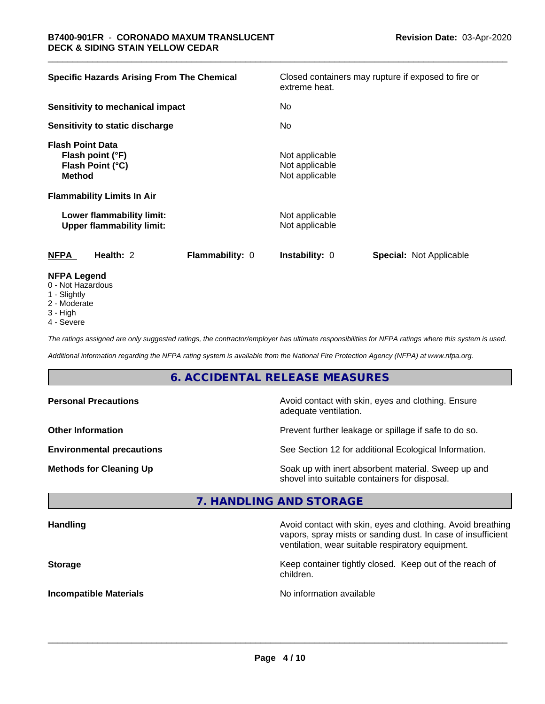| <b>Specific Hazards Arising From The Chemical</b>                                | Closed containers may rupture if exposed to fire or<br>extreme heat. |
|----------------------------------------------------------------------------------|----------------------------------------------------------------------|
| Sensitivity to mechanical impact                                                 | No.                                                                  |
| Sensitivity to static discharge                                                  | No.                                                                  |
| <b>Flash Point Data</b><br>Flash point (°F)<br>Flash Point (°C)<br><b>Method</b> | Not applicable<br>Not applicable<br>Not applicable                   |
| <b>Flammability Limits In Air</b>                                                |                                                                      |
| Lower flammability limit:<br><b>Upper flammability limit:</b>                    | Not applicable<br>Not applicable                                     |
| <b>NFPA</b><br>Health: 2<br>Flammability: 0                                      | <b>Instability: 0</b><br><b>Special: Not Applicable</b>              |
| <b>NFPA Legend</b><br>$0$ Not Horordoug                                          |                                                                      |

- 0 Not Hazardous
- 1 Slightly
- 2 Moderate
- 3 High
- 4 Severe

*The ratings assigned are only suggested ratings, the contractor/employer has ultimate responsibilities for NFPA ratings where this system is used.*

*Additional information regarding the NFPA rating system is available from the National Fire Protection Agency (NFPA) at www.nfpa.org.*

# **6. ACCIDENTAL RELEASE MEASURES**

| <b>Personal Precautions</b>      | Avoid contact with skin, eyes and clothing. Ensure<br>adequate ventilation.                          |  |
|----------------------------------|------------------------------------------------------------------------------------------------------|--|
| <b>Other Information</b>         | Prevent further leakage or spillage if safe to do so.                                                |  |
| <b>Environmental precautions</b> | See Section 12 for additional Ecological Information.                                                |  |
| <b>Methods for Cleaning Up</b>   | Soak up with inert absorbent material. Sweep up and<br>shovel into suitable containers for disposal. |  |

#### **7. HANDLING AND STORAGE**

| <b>Handling</b>               | Avoid contact with skin, eyes and clothing. Avoid breathing<br>vapors, spray mists or sanding dust. In case of insufficient<br>ventilation, wear suitable respiratory equipment. |  |
|-------------------------------|----------------------------------------------------------------------------------------------------------------------------------------------------------------------------------|--|
| <b>Storage</b>                | Keep container tightly closed. Keep out of the reach of<br>children.                                                                                                             |  |
| <b>Incompatible Materials</b> | No information available                                                                                                                                                         |  |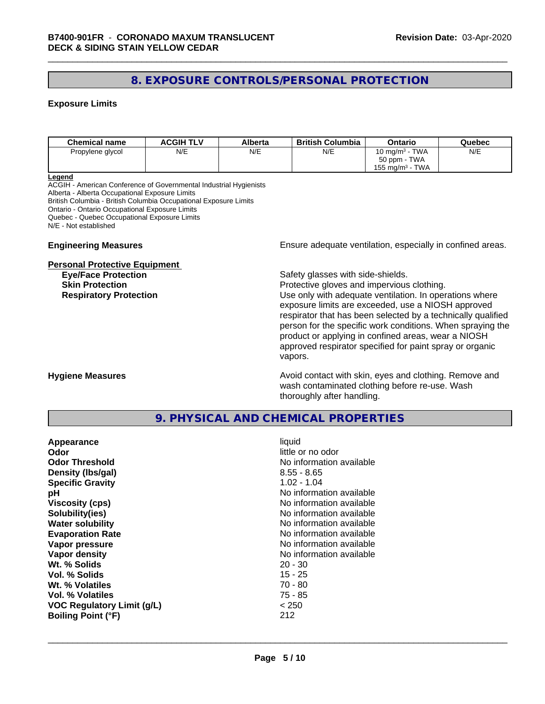# **8. EXPOSURE CONTROLS/PERSONAL PROTECTION**

#### **Exposure Limits**

| <b>Chemical name</b> | <b>ACGIH TLV</b> | Alberta | <b>British Columbia</b> | Ontario                        | Quebec |
|----------------------|------------------|---------|-------------------------|--------------------------------|--------|
| Propylene glycol     | N/E              | N/E     | N/E                     | 10 mg/m $3$ - TWA              | N/E    |
|                      |                  |         |                         | 50 ppm - TWA                   |        |
|                      |                  |         |                         | TWA<br>155 mg/m <sup>3</sup> - |        |

#### **Legend**

ACGIH - American Conference of Governmental Industrial Hygienists Alberta - Alberta Occupational Exposure Limits British Columbia - British Columbia Occupational Exposure Limits Ontario - Ontario Occupational Exposure Limits Quebec - Quebec Occupational Exposure Limits N/E - Not established

#### **Personal Protective Equipment**

**Engineering Measures Ensure** Ensure adequate ventilation, especially in confined areas.

**Eye/Face Protection Safety glasses with side-shields.** 

**Skin Protection Protection Protective gloves and impervious clothing. Respiratory Protection Exercise 2018** Use only with adequate ventilation. In operations where exposure limits are exceeded, use a NIOSH approved respirator that has been selected by a technically qualified person for the specific work conditions. When spraying the product or applying in confined areas, wear a NIOSH approved respirator specified for paint spray or organic vapors.

**Hygiene Measures Avoid contact with skin, eyes and clothing. Remove and Avoid contact with skin, eyes and clothing. Remove and Avoid contact with skin, eyes and clothing. Remove and** wash contaminated clothing before re-use. Wash thoroughly after handling.

### **9. PHYSICAL AND CHEMICAL PROPERTIES**

| Appearance                        | liquid                   |
|-----------------------------------|--------------------------|
| Odor                              | little or no odor        |
| <b>Odor Threshold</b>             | No information available |
| Density (Ibs/gal)                 | $8.55 - 8.65$            |
| <b>Specific Gravity</b>           | $1.02 - 1.04$            |
| рH                                | No information available |
| <b>Viscosity (cps)</b>            | No information available |
| Solubility(ies)                   | No information available |
| <b>Water solubility</b>           | No information available |
| <b>Evaporation Rate</b>           | No information available |
| Vapor pressure                    | No information available |
| Vapor density                     | No information available |
| Wt. % Solids                      | $20 - 30$                |
| Vol. % Solids                     | $15 - 25$                |
| Wt. % Volatiles                   | $70 - 80$                |
| Vol. % Volatiles                  | 75 - 85                  |
| <b>VOC Regulatory Limit (g/L)</b> | < 250                    |
| <b>Boiling Point (°F)</b>         | 212                      |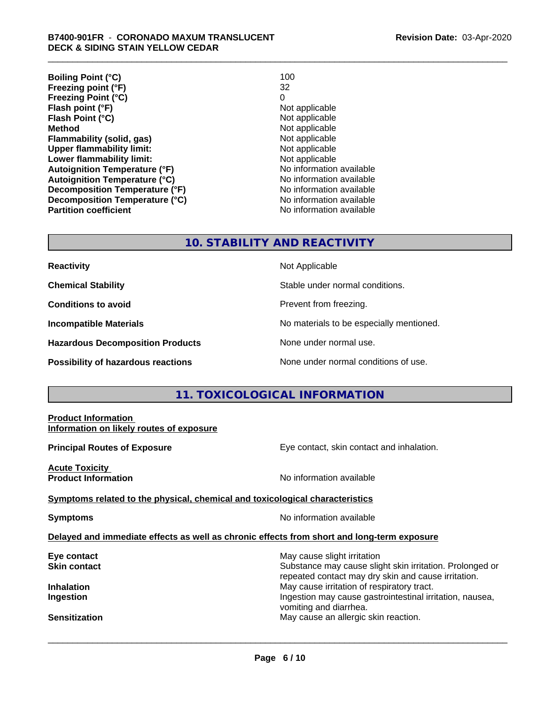| <b>Boiling Point (°C)</b>            | 100                      |
|--------------------------------------|--------------------------|
| Freezing point (°F)                  | 32                       |
| <b>Freezing Point (°C)</b>           | 0                        |
| Flash point (°F)                     | Not applicable           |
| Flash Point (°C)                     | Not applicable           |
| <b>Method</b>                        | Not applicable           |
| Flammability (solid, gas)            | Not applicable           |
| <b>Upper flammability limit:</b>     | Not applicable           |
| Lower flammability limit:            | Not applicable           |
| <b>Autoignition Temperature (°F)</b> | No information available |
| <b>Autoignition Temperature (°C)</b> | No information available |
| Decomposition Temperature (°F)       | No information available |
| Decomposition Temperature (°C)       | No information available |
| <b>Partition coefficient</b>         | No information available |

#### **10. STABILITY AND REACTIVITY**

| <b>Reactivity</b> |  |
|-------------------|--|
|                   |  |

**Hazardous Decomposition Products** None under normal use.

**Not Applicable** 

**Chemical Stability Stable under normal conditions.** 

**Conditions to avoid Prevent from freezing.** 

**Incompatible Materials No materials** No materials to be especially mentioned.

**Possibility of hazardous reactions** None under normal conditions of use.

# **11. TOXICOLOGICAL INFORMATION**

# **Product Information Information on likely routes of exposure Principal Routes of Exposure Exposure** Eye contact, skin contact and inhalation. **Acute Toxicity Product Information Information No information available <u>Symptoms related to the physical, chemical and toxicological characteristics</u> Symptoms** No information available **Delayed and immediate effects as well as chronic effects from short and long-term exposure Eye contact Exercise Solution** May cause slight irritation **Skin contact** Substance may cause slight skin irritation. Prolonged or repeated contact may dry skin and cause irritation. **Inhalation** May cause irritation of respiratory tract. **Ingestion Ingestion Ingestion Ingestion Ingestion Ingestion Ingestion Ingestion Ingestion Ingestion** vomiting and diarrhea. **Sensitization** May cause an allergic skin reaction.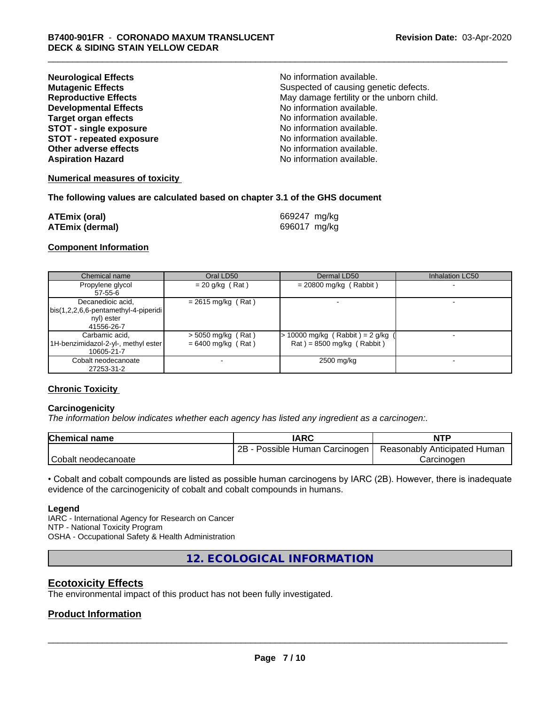| <b>Neurological Effects</b>     | No information available.                 |
|---------------------------------|-------------------------------------------|
| <b>Mutagenic Effects</b>        | Suspected of causing genetic defects.     |
| <b>Reproductive Effects</b>     | May damage fertility or the unborn child. |
| <b>Developmental Effects</b>    | No information available.                 |
| <b>Target organ effects</b>     | No information available.                 |
| <b>STOT - single exposure</b>   | No information available.                 |
| <b>STOT - repeated exposure</b> | No information available.                 |
| Other adverse effects           | No information available.                 |
| <b>Aspiration Hazard</b>        | No information available.                 |

#### **Numerical measures of toxicity**

#### **The following values are calculated based on chapter 3.1 of the GHS document**

| <b>ATEmix (oral)</b>   | 669247 mg/kg |
|------------------------|--------------|
| <b>ATEmix (dermal)</b> | 696017 mg/kg |

#### **Component Information**

| Chemical name                        | Oral LD50            | Dermal LD50                     | <b>Inhalation LC50</b> |
|--------------------------------------|----------------------|---------------------------------|------------------------|
| Propylene glycol                     | $= 20$ g/kg (Rat)    | $= 20800$ mg/kg (Rabbit)        |                        |
| $57 - 55 - 6$                        |                      |                                 |                        |
| Decanedioic acid,                    | $= 2615$ mg/kg (Rat) |                                 |                        |
| bis(1,2,2,6,6-pentamethyl-4-piperidi |                      |                                 |                        |
| nyl) ester                           |                      |                                 |                        |
| 41556-26-7                           |                      |                                 |                        |
| Carbamic acid,                       | $>$ 5050 mg/kg (Rat) | > 10000 mg/kg (Rabbit) = 2 g/kg |                        |
| 1H-benzimidazol-2-yl-, methyl ester  | $= 6400$ mg/kg (Rat) | $Rat$ = 8500 mg/kg (Rabbit)     |                        |
| 10605-21-7                           |                      |                                 |                        |
| Cobalt neodecanoate                  |                      | 2500 mg/kg                      |                        |
| 27253-31-2                           |                      |                                 |                        |

#### **Chronic Toxicity**

#### **Carcinogenicity**

*The information below indicateswhether each agency has listed any ingredient as a carcinogen:.*

| Chemical<br>name    | <b>IARC</b>                     | <b>NTP</b>                   |
|---------------------|---------------------------------|------------------------------|
|                     | 2B<br>Possible Human Carcinogen | Reasonably Anticipated Human |
| Cobalt neodecanoate |                                 | Carcinoder                   |

• Cobalt and cobalt compounds are listed as possible human carcinogens by IARC (2B). However, there is inadequate evidence of the carcinogenicity of cobalt and cobalt compounds in humans.

#### **Legend**

IARC - International Agency for Research on Cancer NTP - National Toxicity Program OSHA - Occupational Safety & Health Administration

**12. ECOLOGICAL INFORMATION**

# **Ecotoxicity Effects**

The environmental impact of this product has not been fully investigated.

#### **Product Information**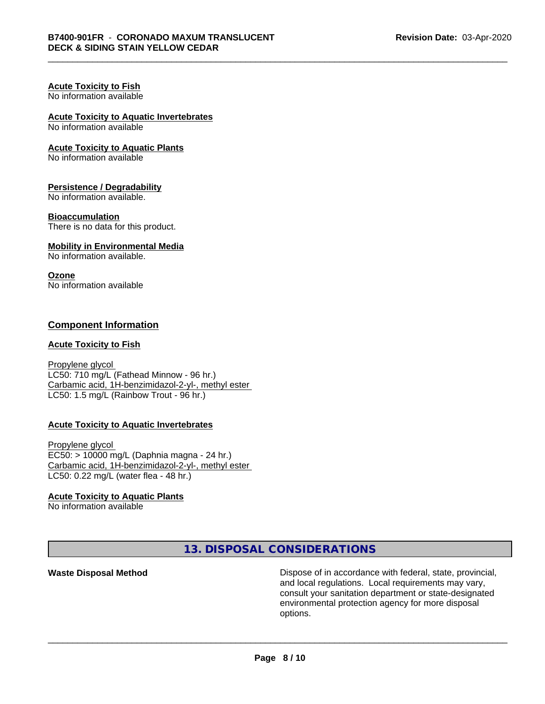#### **Acute Toxicity to Fish** No information available

# **Acute Toxicity to Aquatic Invertebrates**

No information available

#### **Acute Toxicity to Aquatic Plants**

No information available

#### **Persistence / Degradability**

No information available.

#### **Bioaccumulation**

There is no data for this product.

#### **Mobility in Environmental Media**

No information available.

#### **Ozone**

No information available

### **Component Information**

#### **Acute Toxicity to Fish**

Propylene glycol LC50: 710 mg/L (Fathead Minnow - 96 hr.) Carbamic acid, 1H-benzimidazol-2-yl-, methyl ester LC50: 1.5 mg/L (Rainbow Trout - 96 hr.)

#### **Acute Toxicity to Aquatic Invertebrates**

Propylene glycol EC50: > 10000 mg/L (Daphnia magna - 24 hr.) Carbamic acid, 1H-benzimidazol-2-yl-, methyl ester LC50: 0.22 mg/L (water flea - 48 hr.)

#### **Acute Toxicity to Aquatic Plants**

No information available

**13. DISPOSAL CONSIDERATIONS**

**Waste Disposal Method Dispose of in accordance with federal, state, provincial,** and local regulations. Local requirements may vary, consult your sanitation department or state-designated environmental protection agency for more disposal options.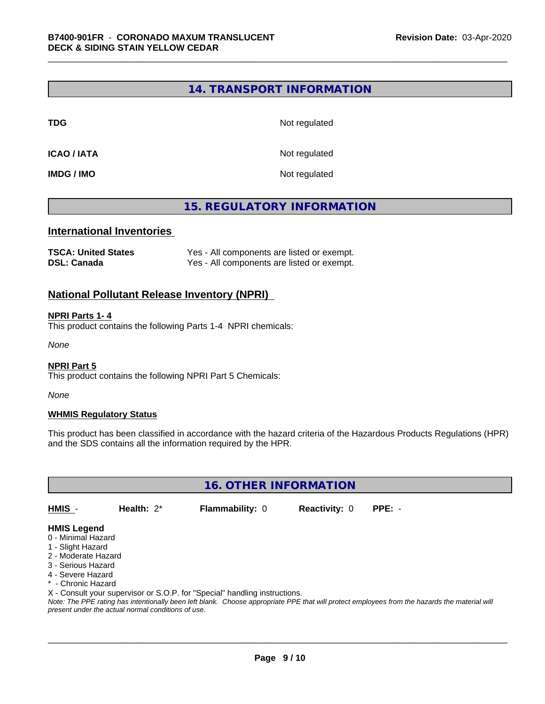### **14. TRANSPORT INFORMATION**

**TDG** Not regulated

**ICAO / IATA** Not regulated

**IMDG / IMO** Not regulated

# **15. REGULATORY INFORMATION**

#### **International Inventories**

| <b>TSCA: United States</b> | Yes - All components are listed or exempt. |
|----------------------------|--------------------------------------------|
| <b>DSL: Canada</b>         | Yes - All components are listed or exempt. |

#### **National Pollutant Release Inventory (NPRI)**

#### **NPRI Parts 1- 4**

This product contains the following Parts 1-4 NPRI chemicals:

*None*

#### **NPRI Part 5**

This product contains the following NPRI Part 5 Chemicals:

*None*

#### **WHMIS Regulatory Status**

This product has been classified in accordance with the hazard criteria of the Hazardous Products Regulations (HPR) and the SDS contains all the information required by the HPR.

**16. OTHER INFORMATION**

**HMIS** - **Health:** 2\* **Flammability:** 0 **Reactivity:** 0 **PPE:** -

## **HMIS Legend**

- 0 Minimal Hazard
- 1 Slight Hazard
- 2 Moderate Hazard
- 3 Serious Hazard
- 4 Severe Hazard
- \* Chronic Hazard
- X Consult your supervisor or S.O.P. for "Special" handling instructions.

*Note: The PPE rating has intentionally been left blank. Choose appropriate PPE that will protect employees from the hazards the material will present under the actual normal conditions of use.*